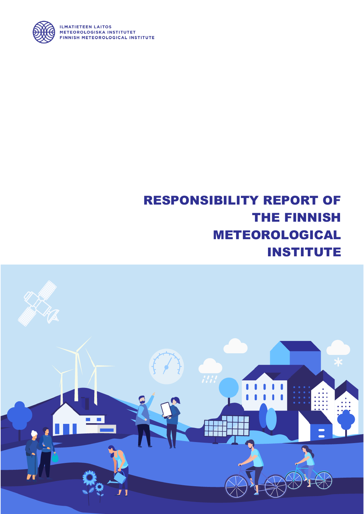

## RESPONSIBILITY REPORT OF THE FINNISH METEOROLOGICAL INSTITUTE



**ILMATIETEEN LAITOS** METEOROLOGISKA INSTITUTET FINNISH METEOROLOGICAL INSTITUTE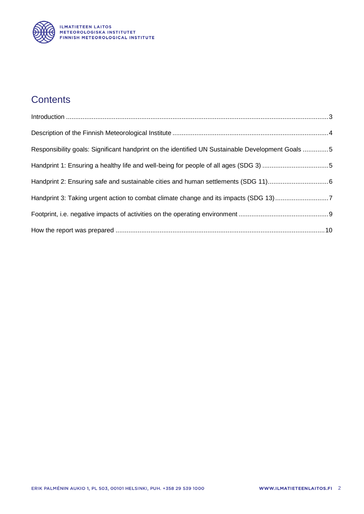

### **Contents**

| Responsibility goals: Significant handprint on the identified UN Sustainable Development Goals 5 |  |
|--------------------------------------------------------------------------------------------------|--|
| Handprint 1: Ensuring a healthy life and well-being for people of all ages (SDG 3) 5             |  |
|                                                                                                  |  |
| Handprint 3: Taking urgent action to combat climate change and its impacts (SDG 13)7             |  |
|                                                                                                  |  |
|                                                                                                  |  |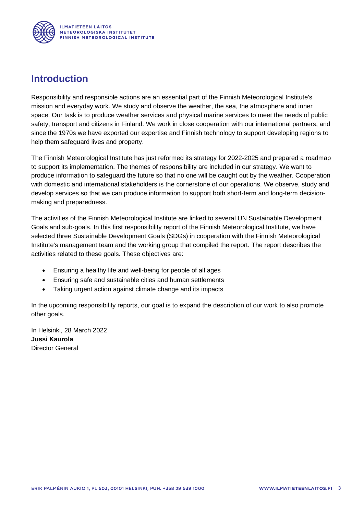

#### <span id="page-2-0"></span>**Introduction**

Responsibility and responsible actions are an essential part of the Finnish Meteorological Institute's mission and everyday work. We study and observe the weather, the sea, the atmosphere and inner space. Our task is to produce weather services and physical marine services to meet the needs of public safety, transport and citizens in Finland. We work in close cooperation with our international partners, and since the 1970s we have exported our expertise and Finnish technology to support developing regions to help them safeguard lives and property.

The Finnish Meteorological Institute has just reformed its strategy for 2022-2025 and prepared a roadmap to support its implementation. The themes of responsibility are included in our strategy. We want to produce information to safeguard the future so that no one will be caught out by the weather. Cooperation with domestic and international stakeholders is the cornerstone of our operations. We observe, study and develop services so that we can produce information to support both short-term and long-term decisionmaking and preparedness.

The activities of the Finnish Meteorological Institute are linked to several UN Sustainable Development Goals and sub-goals. In this first responsibility report of the Finnish Meteorological Institute, we have selected three Sustainable Development Goals (SDGs) in cooperation with the Finnish Meteorological Institute's management team and the working group that compiled the report. The report describes the activities related to these goals. These objectives are:

- Ensuring a healthy life and well-being for people of all ages
- Ensuring safe and sustainable cities and human settlements
- Taking urgent action against climate change and its impacts

In the upcoming responsibility reports, our goal is to expand the description of our work to also promote other goals.

In Helsinki, 28 March 2022 **Jussi Kaurola** Director General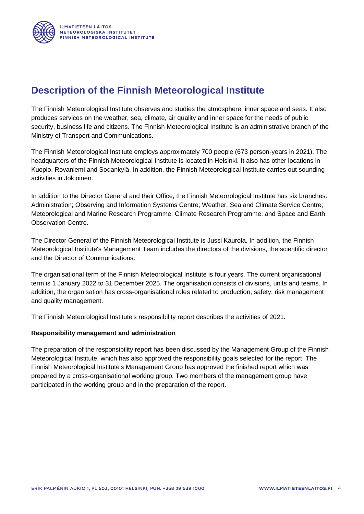#### <span id="page-3-0"></span>**Description of the Finnish Meteorological Institute**

The Finnish Meteorological Institute observes and studies the atmosphere, inner space and seas. It also produces services on the weather, sea, climate, air quality and inner space for the needs of public security, business life and citizens. The Finnish Meteorological Institute is an administrative branch of the Ministry of Transport and Communications.

The Finnish Meteorological Institute employs approximately 700 people (673 person-years in 2021). The headquarters of the Finnish Meteorological Institute is located in Helsinki. It also has other locations in Kuopio, Rovaniemi and Sodankylä. In addition, the Finnish Meteorological Institute carries out sounding activities in Jokioinen.

In addition to the Director General and their Office, the Finnish Meteorological Institute has six branches: Administration; Observing and Information Systems Centre; Weather, Sea and Climate Service Centre; Meteorological and Marine Research Programme; Climate Research Programme; and Space and Earth Observation Centre.

The Director General of the Finnish Meteorological Institute is Jussi Kaurola. In addition, the Finnish Meteorological Institute's Management Team includes the directors of the divisions, the scientific director and the Director of Communications.

The organisational term of the Finnish Meteorological Institute is four years. The current organisational term is 1 January 2022 to 31 December 2025. The organisation consists of divisions, units and teams. In addition, the organisation has cross-organisational roles related to production, safety, risk management and quality management.

The Finnish Meteorological Institute's responsibility report describes the activities of 2021.

#### **Responsibility management and administration**

The preparation of the responsibility report has been discussed by the Management Group of the Finnish Meteorological Institute, which has also approved the responsibility goals selected for the report. The Finnish Meteorological Institute's Management Group has approved the finished report which was prepared by a cross-organisational working group. Two members of the management group have participated in the working group and in the preparation of the report.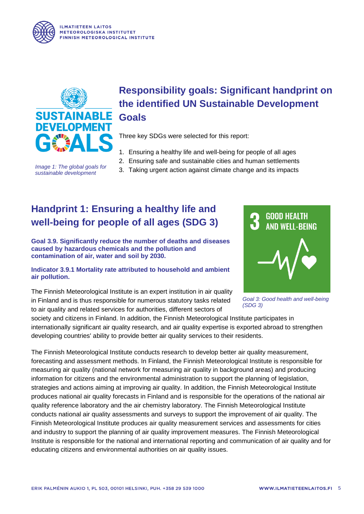



*Image 1: The global goals for sustainable development* 

# <span id="page-4-0"></span>**Responsibility goals: Significant handprint on the identified UN Sustainable Development**

Three key SDGs were selected for this report:

- 1. Ensuring a healthy life and well-being for people of all ages
- 2. Ensuring safe and sustainable cities and human settlements
- 3. Taking urgent action against climate change and its impacts

### <span id="page-4-1"></span>**Handprint 1: Ensuring a healthy life and well-being for people of all ages (SDG 3)**

**Goal 3.9. Significantly reduce the number of deaths and diseases caused by hazardous chemicals and the pollution and contamination of air, water and soil by 2030.**

**Indicator 3.9.1 Mortality rate attributed to household and ambient air pollution.**

The Finnish Meteorological Institute is an expert institution in air quality in Finland and is thus responsible for numerous statutory tasks related to air quality and related services for authorities, different sectors of



*Goal 3: Good health and well-being (SDG 3)*

society and citizens in Finland. In addition, the Finnish Meteorological Institute participates in internationally significant air quality research, and air quality expertise is exported abroad to strengthen developing countries' ability to provide better air quality services to their residents.

The Finnish Meteorological Institute conducts research to develop better air quality measurement, forecasting and assessment methods. In Finland, the Finnish Meteorological Institute is responsible for measuring air quality (national network for measuring air quality in background areas) and producing information for citizens and the environmental administration to support the planning of legislation, strategies and actions aiming at improving air quality. In addition, the Finnish Meteorological Institute produces national air quality forecasts in Finland and is responsible for the operations of the national air quality reference laboratory and the air chemistry laboratory. The Finnish Meteorological Institute conducts national air quality assessments and surveys to support the improvement of air quality. The Finnish Meteorological Institute produces air quality measurement services and assessments for cities and industry to support the planning of air quality improvement measures. The Finnish Meteorological Institute is responsible for the national and international reporting and communication of air quality and for educating citizens and environmental authorities on air quality issues.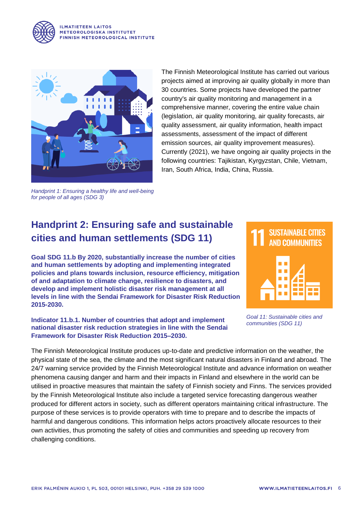

**ILMATIETEEN LAITOS** METEOROLOGISKA INSTITUTET FINNISH METEOROLOGICAL INSTITUTE



The Finnish Meteorological Institute has carried out various projects aimed at improving air quality globally in more than 30 countries. Some projects have developed the partner country's air quality monitoring and management in a comprehensive manner, covering the entire value chain (legislation, air quality monitoring, air quality forecasts, air quality assessment, air quality information, health impact assessments, assessment of the impact of different emission sources, air quality improvement measures). Currently (2021), we have ongoing air quality projects in the following countries: Tajikistan, Kyrgyzstan, Chile, Vietnam, Iran, South Africa, India, China, Russia.

*Handprint 1: Ensuring a healthy life and well-being for people of all ages (SDG 3)*

### <span id="page-5-0"></span>**Handprint 2: Ensuring safe and sustainable cities and human settlements (SDG 11)**

**Goal SDG 11.b By 2020, substantially increase the number of cities and human settlements by adopting and implementing integrated policies and plans towards inclusion, resource efficiency, mitigation of and adaptation to climate change, resilience to disasters, and develop and implement holistic disaster risk management at all levels in line with the Sendai Framework for Disaster Risk Reduction 2015-2030.**

**Indicator 11.b.1. Number of countries that adopt and implement national disaster risk reduction strategies in line with the Sendai Framework for Disaster Risk Reduction 2015–2030.**





*Goal 11: Sustainable cities and communities (SDG 11)*

The Finnish Meteorological Institute produces up-to-date and predictive information on the weather, the physical state of the sea, the climate and the most significant natural disasters in Finland and abroad. The 24/7 warning service provided by the Finnish Meteorological Institute and advance information on weather phenomena causing danger and harm and their impacts in Finland and elsewhere in the world can be utilised in proactive measures that maintain the safety of Finnish society and Finns. The services provided by the Finnish Meteorological Institute also include a targeted service forecasting dangerous weather produced for different actors in society, such as different operators maintaining critical infrastructure. The purpose of these services is to provide operators with time to prepare and to describe the impacts of harmful and dangerous conditions. This information helps actors proactively allocate resources to their own activities, thus promoting the safety of cities and communities and speeding up recovery from challenging conditions.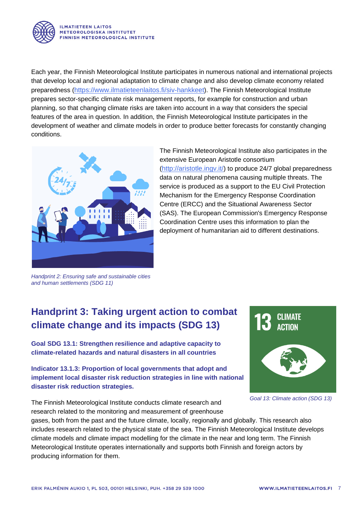

Each year, the Finnish Meteorological Institute participates in numerous national and international projects that develop local and regional adaptation to climate change and also develop climate economy related preparedness (<https://www.ilmatieteenlaitos.fi/siv-hankkeet>). The Finnish Meteorological Institute prepares sector-specific climate risk management reports, for example for construction and urban planning, so that changing climate risks are taken into account in a way that considers the special features of the area in question. In addition, the Finnish Meteorological Institute participates in the development of weather and climate models in order to produce better forecasts for constantly changing conditions.



The Finnish Meteorological Institute also participates in the extensive European Aristotle consortium (<http://aristotle.ingv.it/>) to produce 24/7 global preparedness data on natural phenomena causing multiple threats. The service is produced as a support to the EU Civil Protection Mechanism for the Emergency Response Coordination Centre (ERCC) and the Situational Awareness Sector (SAS). The European Commission's Emergency Response Coordination Centre uses this information to plan the deployment of humanitarian aid to different destinations.

*Handprint 2: Ensuring safe and sustainable cities and human settlements (SDG 11)*

### <span id="page-6-0"></span>**Handprint 3: Taking urgent action to combat climate change and its impacts (SDG 13)**

**Goal SDG 13.1: Strengthen resilience and adaptive capacity to climate-related hazards and natural disasters in all countries**

**Indicator 13.1.3: Proportion of local governments that adopt and implement local disaster risk reduction strategies in line with national disaster risk reduction strategies.**

The Finnish Meteorological Institute conducts climate research and research related to the monitoring and measurement of greenhouse





*Goal 13: Climate action (SDG 13)*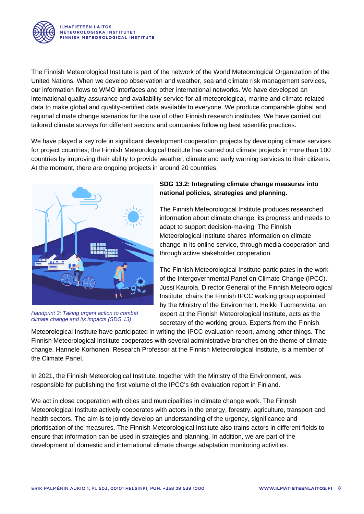

The Finnish Meteorological Institute is part of the network of the World Meteorological Organization of the United Nations. When we develop observation and weather, sea and climate risk management services, our information flows to WMO interfaces and other international networks. We have developed an international quality assurance and availability service for all meteorological, marine and climate-related data to make global and quality-certified data available to everyone. We produce comparable global and regional climate change scenarios for the use of other Finnish research institutes. We have carried out tailored climate surveys for different sectors and companies following best scientific practices.

We have played a key role in significant development cooperation projects by developing climate services for project countries; the Finnish Meteorological Institute has carried out climate projects in more than 100 countries by improving their ability to provide weather, climate and early warning services to their citizens. At the moment, there are ongoing projects in around 20 countries.



*Handprint 3: Taking urgent action to combat climate change and its impacts (SDG 13)*

#### **SDG 13.2: Integrating climate change measures into national policies, strategies and planning.**

The Finnish Meteorological Institute produces researched information about climate change, its progress and needs to adapt to support decision-making. The Finnish Meteorological Institute shares information on climate change in its online service, through media cooperation and through active stakeholder cooperation.

The Finnish Meteorological Institute participates in the work of the Intergovernmental Panel on Climate Change (IPCC). Jussi Kaurola, Director General of the Finnish Meteorological Institute, chairs the Finnish IPCC working group appointed by the Ministry of the Environment. Heikki Tuomenvirta, an expert at the Finnish Meteorological Institute, acts as the secretary of the working group. Experts from the Finnish

Meteorological Institute have participated in writing the IPCC evaluation report, among other things. The Finnish Meteorological Institute cooperates with several administrative branches on the theme of climate change. Hannele Korhonen, Research Professor at the Finnish Meteorological Institute, is a member of the Climate Panel.

In 2021, the Finnish Meteorological Institute, together with the Ministry of the Environment, was responsible for publishing the first volume of the IPCC's 6th evaluation report in Finland.

We act in close cooperation with cities and municipalities in climate change work. The Finnish Meteorological Institute actively cooperates with actors in the energy, forestry, agriculture, transport and health sectors. The aim is to jointly develop an understanding of the urgency, significance and prioritisation of the measures. The Finnish Meteorological Institute also trains actors in different fields to ensure that information can be used in strategies and planning. In addition, we are part of the development of domestic and international climate change adaptation monitoring activities.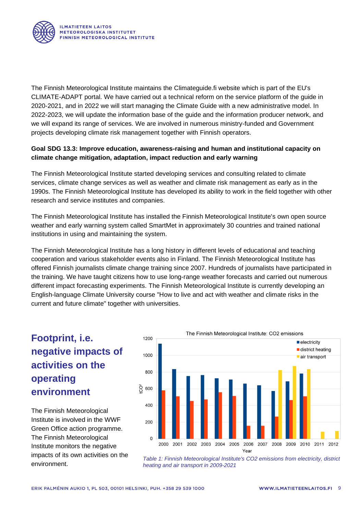

The Finnish Meteorological Institute maintains the Climateguide.fi website which is part of the EU's CLIMATE-ADAPT portal. We have carried out a technical reform on the service platform of the guide in 2020-2021, and in 2022 we will start managing the Climate Guide with a new administrative model. In 2022-2023, we will update the information base of the guide and the information producer network, and we will expand its range of services. We are involved in numerous ministry-funded and Government projects developing climate risk management together with Finnish operators.

#### **Goal SDG 13.3: Improve education, awareness-raising and human and institutional capacity on climate change mitigation, adaptation, impact reduction and early warning**

The Finnish Meteorological Institute started developing services and consulting related to climate services, climate change services as well as weather and climate risk management as early as in the 1990s. The Finnish Meteorological Institute has developed its ability to work in the field together with other research and service institutes and companies.

The Finnish Meteorological Institute has installed the Finnish Meteorological Institute's own open source weather and early warning system called SmartMet in approximately 30 countries and trained national institutions in using and maintaining the system.

The Finnish Meteorological Institute has a long history in different levels of educational and teaching cooperation and various stakeholder events also in Finland. The Finnish Meteorological Institute has offered Finnish journalists climate change training since 2007. Hundreds of journalists have participated in the training. We have taught citizens how to use long-range weather forecasts and carried out numerous different impact forecasting experiments. The Finnish Meteorological Institute is currently developing an English-language Climate University course "How to live and act with weather and climate risks in the current and future climate" together with universities.

### <span id="page-8-0"></span>**Footprint, i.e. negative impacts of activities on the operating environment**

The Finnish Meteorological Institute is involved in the WWF Green Office action programme. The Finnish Meteorological Institute monitors the negative impacts of its own activities on the environment.



*Table 1: Finnish Meteorological Institute's CO2 emissions from electricity, district heating and air transport in 2009-2021*